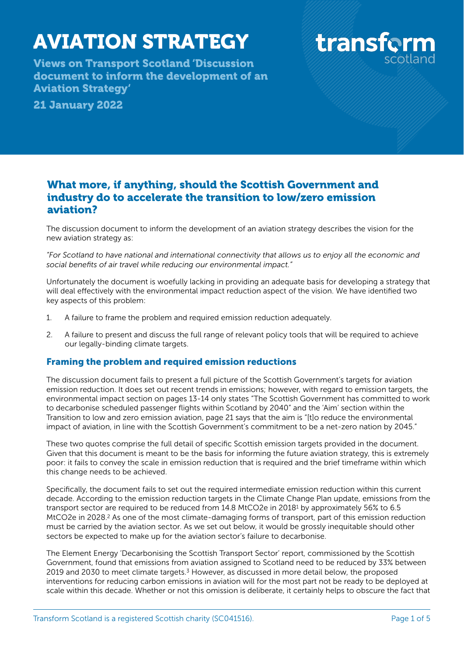# AVIATION STRATEGY

Views on Transport Scotland 'Discussion document to inform the development of an Aviation Strategy'

21 January 2022



# What more, if anything, should the Scottish Government and industry do to accelerate the transition to low/zero emission aviation?

The discussion document to inform the development of an aviation strategy describes the vision for the new aviation strategy as:

*"For Scotland to have national and international connectivity that allows us to enjoy all the economic and social benefits of air travel while reducing our environmental impact."*

Unfortunately the document is woefully lacking in providing an adequate basis for developing a strategy that will deal effectively with the environmental impact reduction aspect of the vision. We have identified two key aspects of this problem:

- 1. A failure to frame the problem and required emission reduction adequately.
- 2. A failure to present and discuss the full range of relevant policy tools that will be required to achieve our legally-binding climate targets.

#### Framing the problem and required emission reductions

The discussion document fails to present a full picture of the Scottish Government's targets for aviation emission reduction. It does set out recent trends in emissions; however, with regard to emission targets, the environmental impact section on pages 13-14 only states "The Scottish Government has committed to work to decarbonise scheduled passenger flights within Scotland by 2040" and the 'Aim' section within the Transition to low and zero emission aviation, page 21 says that the aim is "[t]o reduce the environmental impact of aviation, in line with the Scottish Government's commitment to be a net-zero nation by 2045."

These two quotes comprise the full detail of specific Scottish emission targets provided in the document. Given that this document is meant to be the basis for informing the future aviation strategy, this is extremely poor: it fails to convey the scale in emission reduction that is required and the brief timeframe within which this change needs to be achieved.

<span id="page-0-1"></span><span id="page-0-0"></span>Specifically, the document fails to set out the required intermediate emission reduction within this current decade. According to the emission reduction targets in the Climate Change Plan update, emissions from the transport sector are required to be reduced from 14.[8](#page-4-0) MtCO2e in 20[1](#page-4-0)8<sup>1</sup> by approximately 56% to 6.5 MtCO[2](#page-4-1)e in 2028.<sup>2</sup> As one of the most climate-damaging forms of transport, part of this emission reduction must be carried by the aviation sector. As we set out below, it would be grossly inequitable should other sectors be expected to make up for the aviation sector's failure to decarbonise.

<span id="page-0-2"></span>The Element Energy 'Decarbonising the Scottish Transport Sector' report, commissioned by the Scottish Government, found that emissions from aviation assigned to Scotland need to be reduced by 33% between 2019 and 2030 to meet climate targets[.](#page-4-2)<sup>[3](#page-4-2)</sup> However, as discussed in more detail below, the proposed interventions for reducing carbon emissions in aviation will for the most part not be ready to be deployed at scale within this decade. Whether or not this omission is deliberate, it certainly helps to obscure the fact that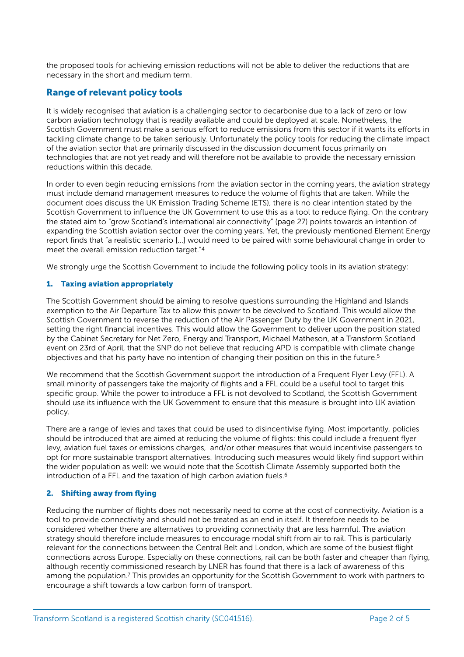the proposed tools for achieving emission reductions will not be able to deliver the reductions that are necessary in the short and medium term.

#### Range of relevant policy tools

It is widely recognised that aviation is a challenging sector to decarbonise due to a lack of zero or low carbon aviation technology that is readily available and could be deployed at scale. Nonetheless, the Scottish Government must make a serious effort to reduce emissions from this sector if it wants its efforts in tackling climate change to be taken seriously. Unfortunately the policy tools for reducing the climate impact of the aviation sector that are primarily discussed in the discussion document focus primarily on technologies that are not yet ready and will therefore not be available to provide the necessary emission reductions within this decade.

In order to even begin reducing emissions from the aviation sector in the coming years, the aviation strategy must include demand management measures to reduce the volume of flights that are taken. While the document does discuss the UK Emission Trading Scheme (ETS), there is no clear intention stated by the Scottish Government to influence the UK Government to use this as a tool to reduce flying. On the contrary the stated aim to "grow Scotland's international air connectivity" (page 27) points towards an intention of expanding the Scottish aviation sector over the coming years. Yet, the previously mentioned Element Energy report finds that "a realistic scenario [...] would need to be paired with some behavioural change in order to meet the overall emission reduction target."[4](#page-4-3)

<span id="page-1-0"></span>We strongly urge the Scottish Government to include the following policy tools in its aviation strategy:

#### 1. Taxing aviation appropriately

The Scottish Government should be aiming to resolve questions surrounding the Highland and Islands exemption to the Air Departure Tax to allow this power to be devolved to Scotland. This would allow the Scottish Government to reverse the reduction of the Air Passenger Duty by the UK Government in 2021, setting the right financial incentives. This would allow the Government to deliver upon the position stated by the Cabinet Secretary for Net Zero, Energy and Transport, Michael Matheson, at a Transform Scotland event on 23rd of April, that the SNP do not believe that reducing APD is compatible with climate change objectives and that his party have no intention of changing their position on this in the future.[5](#page-4-4)

<span id="page-1-1"></span>We recommend that the Scottish Government support the introduction of a Frequent Flyer Levy (FFL). A small minority of passengers take the majority of flights and a FFL could be a useful tool to target this specific group. While the power to introduce a FFL is not devolved to Scotland, the Scottish Government should use its influence with the UK Government to ensure that this measure is brought into UK aviation policy.

There are a range of levies and taxes that could be used to disincentivise flying. Most importantly, policies should be introduced that are aimed at reducing the volume of flights: this could include a frequent flyer levy, aviation fuel taxes or emissions charges, and/or other measures that would incentivise passengers to opt for more sustainable transport alternatives. Introducing such measures would likely find support within the wider population as well: we would note that the Scottish Climate Assembly supported both the introduction of a FFL and the taxation of high carbon aviation fuels.<sup>[6](#page-4-5)</sup>

#### <span id="page-1-2"></span>2. Shifting away from flying

<span id="page-1-3"></span>Reducing the number of flights does not necessarily need to come at the cost of connectivity. Aviation is a tool to provide connectivity and should not be treated as an end in itself. It therefore needs to be considered whether there are alternatives to providing connectivity that are less harmful. The aviation strategy should therefore include measures to encourage modal shift from air to rail. This is particularly relevant for the connections between the Central Belt and London, which are some of the busiest flight connections across Europe. Especially on these connections, rail can be both faster and cheaper than flying, although recently commissioned research by LNER has found that there is a lack of awareness of this among the population.<sup>[7](#page-4-6)</sup> This provides an opportunity for the Scottish Government to work with partners to encourage a shift towards a low carbon form of transport.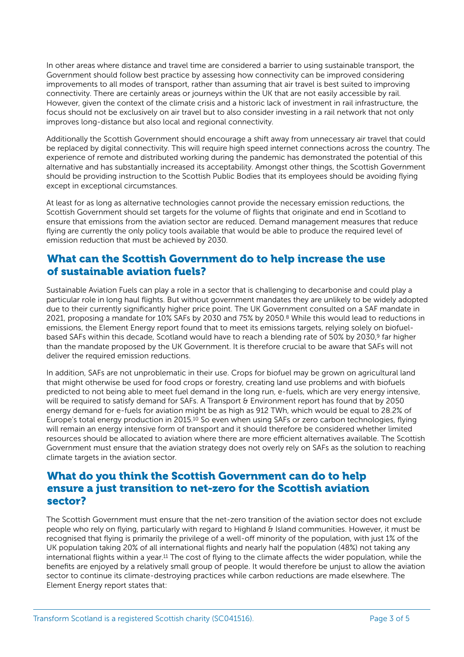In other areas where distance and travel time are considered a barrier to using sustainable transport, the Government should follow best practice by assessing how connectivity can be improved considering improvements to all modes of transport, rather than assuming that air travel is best suited to improving connectivity. There are certainly areas or journeys within the UK that are not easily accessible by rail. However, given the context of the climate crisis and a historic lack of investment in rail infrastructure, the focus should not be exclusively on air travel but to also consider investing in a rail network that not only improves long-distance but also local and regional connectivity.

Additionally the Scottish Government should encourage a shift away from unnecessary air travel that could be replaced by digital connectivity. This will require high speed internet connections across the country. The experience of remote and distributed working during the pandemic has demonstrated the potential of this alternative and has substantially increased its acceptability. Amongst other things, the Scottish Government should be providing instruction to the Scottish Public Bodies that its employees should be avoiding flying except in exceptional circumstances.

At least for as long as alternative technologies cannot provide the necessary emission reductions, the Scottish Government should set targets for the volume of flights that originate and end in Scotland to ensure that emissions from the aviation sector are reduced. Demand management measures that reduce flying are currently the only policy tools available that would be able to produce the required level of emission reduction that must be achieved by 2030.

#### What can the Scottish Government do to help increase the use of sustainable aviation fuels?

<span id="page-2-0"></span>Sustainable Aviation Fuels can play a role in a sector that is challenging to decarbonise and could play a particular role in long haul flights. But without government mandates they are unlikely to be widely adopted due to their currently significantly higher price point. The UK Government consulted on a SAF mandate in 2021,proposing a mandate for 10% SAFs by 2030 and 75% by 2050.<sup>[8](#page-4-7)</sup> While this would lead to reductions in emissions, the Element Energy report found that to meet its emissions targets, relying solely on biofuel-based SAFs within this decade, Scotland would have to reach a blending rate of 50% by 2030,<sup>[9](#page-4-8)</sup> far higher than the mandate proposed by the UK Government. It is therefore crucial to be aware that SAFs will not deliver the required emission reductions.

<span id="page-2-2"></span><span id="page-2-1"></span>In addition, SAFs are not unproblematic in their use. Crops for biofuel may be grown on agricultural land that might otherwise be used for food crops or forestry, creating land use problems and with biofuels predicted to not being able to meet fuel demand in the long run, e-fuels, which are very energy intensive, will be required to satisfy demand for SAFs. A Transport & Environment report has found that by 2050 energy demand for e-fuels for aviation might be as high as 912 TWh, which would be equal to 28.2% of Europe'stotal energy production in 2015.<sup>[10](#page-4-9)</sup> So even when using SAFs or zero carbon technologies, flying will remain an energy intensive form of transport and it should therefore be considered whether limited resources should be allocated to aviation where there are more efficient alternatives available. The Scottish Government must ensure that the aviation strategy does not overly rely on SAFs as the solution to reaching climate targets in the aviation sector.

#### What do you think the Scottish Government can do to help ensure a just transition to net-zero for the Scottish aviation sector?

<span id="page-2-3"></span>The Scottish Government must ensure that the net-zero transition of the aviation sector does not exclude people who rely on flying, particularly with regard to Highland & Island communities. However, it must be recognised that flying is primarily the privilege of a well-off minority of the population, with just 1% of the UK population taking 20% of all international flights and nearly half the population (48%) not taking any internationalflights within a year.<sup>11</sup> The cost of flying to the climate affects the wider population, while the benefits are enjoyed by a relatively small group of people. It would therefore be unjust to allow the aviation sector to continue its climate-destroying practices while carbon reductions are made elsewhere. The Element Energy report states that: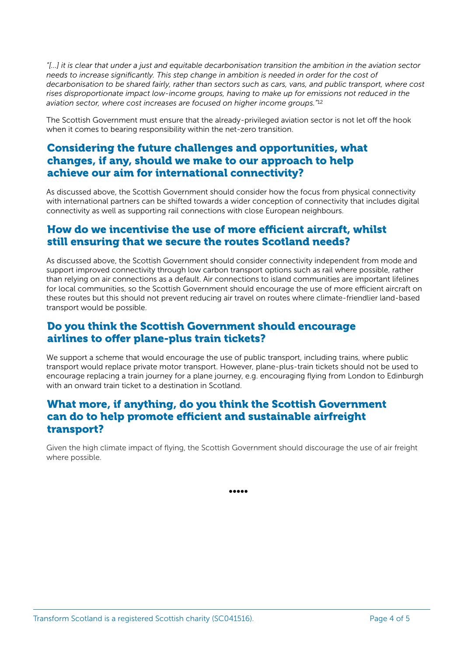*"[...] it is clear that under a just and equitable decarbonisation transition the ambition in the aviation sector needs to increase significantly. This step change in ambition is needed in order for the cost of decarbonisation to be shared fairly, rather than sectors such as cars, vans, and public transport, where cost rises disproportionate impact low-income groups, having to make up for emissions not reduced in the aviation sector, where cost increases are focused on higher income groups."*[12](#page-4-11)

<span id="page-3-0"></span>The Scottish Government must ensure that the already-privileged aviation sector is not let off the hook when it comes to bearing responsibility within the net-zero transition.

## Considering the future challenges and opportunities, what changes, if any, should we make to our approach to help achieve our aim for international connectivity?

As discussed above, the Scottish Government should consider how the focus from physical connectivity with international partners can be shifted towards a wider conception of connectivity that includes digital connectivity as well as supporting rail connections with close European neighbours.

## How do we incentivise the use of more efficient aircraft, whilst still ensuring that we secure the routes Scotland needs?

As discussed above, the Scottish Government should consider connectivity independent from mode and support improved connectivity through low carbon transport options such as rail where possible, rather than relying on air connections as a default. Air connections to island communities are important lifelines for local communities, so the Scottish Government should encourage the use of more efficient aircraft on these routes but this should not prevent reducing air travel on routes where climate-friendlier land-based transport would be possible.

## Do you think the Scottish Government should encourage airlines to offer plane-plus train tickets?

We support a scheme that would encourage the use of public transport, including trains, where public transport would replace private motor transport. However, plane-plus-train tickets should not be used to encourage replacing a train journey for a plane journey, e.g. encouraging flying from London to Edinburgh with an onward train ticket to a destination in Scotland.

#### What more, if anything, do you think the Scottish Government can do to help promote efficient and sustainable airfreight transport?

Given the high climate impact of flying, the Scottish Government should discourage the use of air freight where possible.

•••••